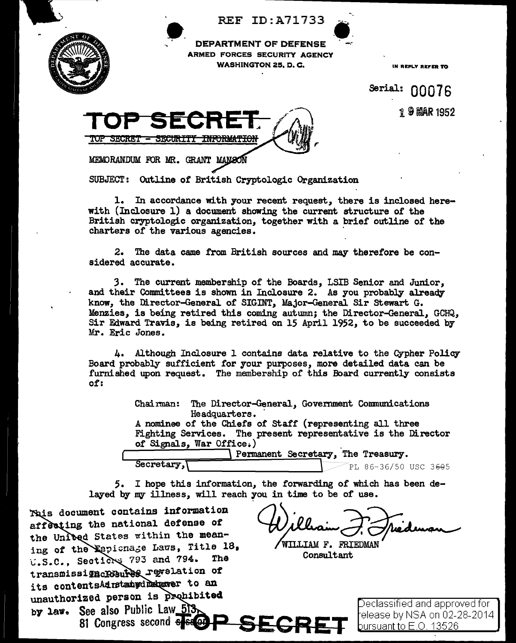**REF ID: A71733** 



**DEPARTMENT OF DEFENSE** ARMED FORCES SECURITY AGENCY **WASHINGTON 25, D. C.** 

IN REPLY REFER TO

Serial: 00076 19 MAR 1952

MEMORANDUM FOR MR. GRANT MANSON

SUBJECT: Outline of British Cryptologic Organization

1. In accordance with your recent request, there is inclosed herewith (Inclosure 1) a document showing the current structure of the British cryptologic organization, together with a brief outline of the charters of the various agencies.

The data came from British sources and may therefore be con-2. sidered accurate.

3. The current membership of the Boards, LSIB Senior and Junior, and their Committees is shown in Inclosure 2. As you probably already know, the Director-General of SIGINT, Major-General Sir Stewart G. Menzies, is being retired this coming autumn; the Director-General, GCHQ, Sir Edward Travis, is being retired on 15 April 1952, to be succeeded by Mr. Eric Jones.

4. Although Inclosure 1 contains data relative to the Cypher Policy Board probably sufficient for your purposes, more detailed data can be furnished upon request. The membership of this Board currently consists of:

> Chairman: The Director-General, Government Communications Headquarters. A nominee of the Chiefs of Staff (representing all three

Fighting Services. The present representative is the Director of Signals, War Office.)

GH

Permanent Secretary, The Treasury. Secretary,

PL 86-36/50 USC 3605

I hope this information, the forwarding of which has been de-5. layed by my illness, will reach you in time to be of use.

This document contains information affecting the national defense of the Unibed States within the meaning of the Espionage Laws, Title 18, U.S.C., Sections 793 and 794. The transmissigncRGsures revelation of its contentsAdmetatydDecaver to an unauthorized person is prohibited by law. See also Public Law\_513 81 Congress second Sesser

WILLIAM F. FRIEDMAN Consultant

Declassified and approved for release by NSA on 02-28-2014. <u>bursuant to E.O. 13526</u>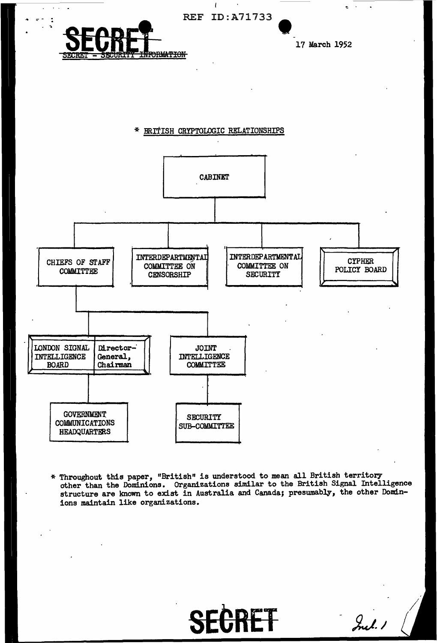

\* Throughout this paper, "British" is understood to mean all British territory structure are known to exist in Australia and Canada; presumably, the other Domin-<br>structure are known to exist in Australia and Canada; presumably, the other Dominions maintain like organizations.

SECRET Sul!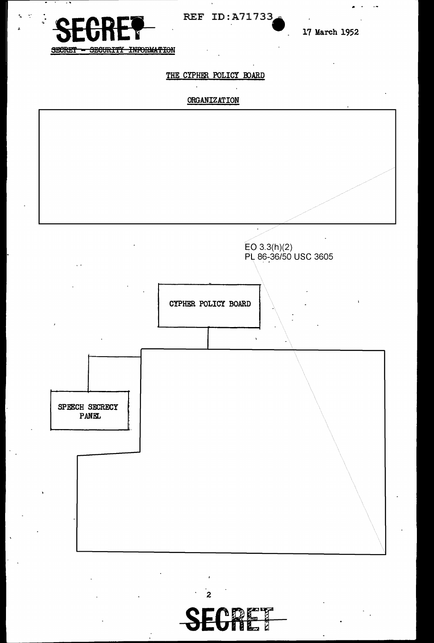

REF ID: A71733

17 March 1952

SECURITY INFORMATION SECRET

# THE CYPHER POLICY BOARD

## ORGANIZATION

 $\mathbf{r}$ 



 $\overline{c}$ 

ECRET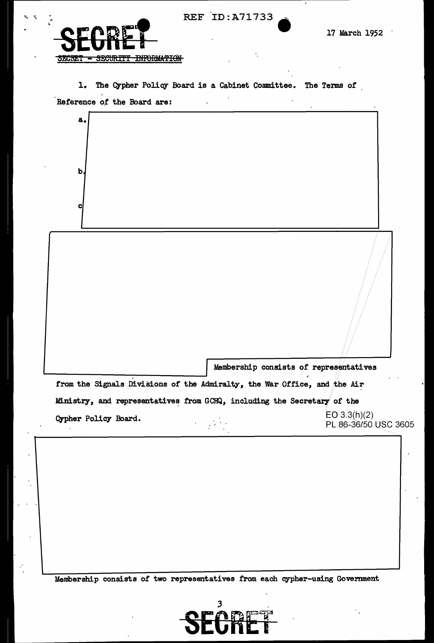| <b>REF ID: A71733</b> |  |
|-----------------------|--|
|-----------------------|--|



a.

b

c|

1. The Cypher Policy Board is a Cabinet Committee. The Terms of Reference of the Board are:

Membership consists of representatives from the Signals Divisions of the Admiralty, the War Office, and the Air

Ministry, and representatives from GCHQ, including the Secretary of the  $EO 3.3(h)(2)$ **Cypher Policy Board.**  $\begin{array}{l}\n \text{EU} \cdot 3.3(n)(2) \\
 \text{P} \cdot \text{E} \cdot 36750 \cdot \text{USC} \cdot 3605\n \end{array}$ 

:Membership consists of two representatives from each cypher-using Government

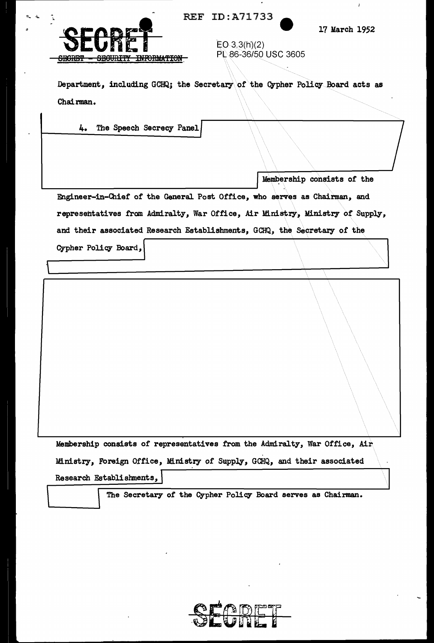

REF ID:A71733

17 March 1952

j.

| ____________<br><b>THEODHAMTON</b><br><b>CONTROLLER</b><br><b>CLADEM</b><br><b>DECORTIL TRIARTION</b><br><u>тэрээлтэг</u> | PL 86-36/50 USC 3605 |  |
|---------------------------------------------------------------------------------------------------------------------------|----------------------|--|
| Department, including GCHQ; the Secretary of the Cypher Policy Board acts as                                              |                      |  |

 $EO 3.3(h)(2)$ 

4. The Speech Secrecy Panel

Membership consists of the

Engineer-in-Chief of the General Post Office, who serves as Chairman, and representatives from Admiralty, War Office, Air Ministry, Ministry of Supply, and their associated Research Establishments, GCHQ, the Secretary of the

Cypher Policy Board,

Chairman.

Membership consists of representatives from the Admiralty, War Office, Air Ministry, Foreign Office, Ministry of Supply, GCHQ, and their associated Research Establishnents, \

The Secretary of the Cypher Policy Board serves as Chairman.

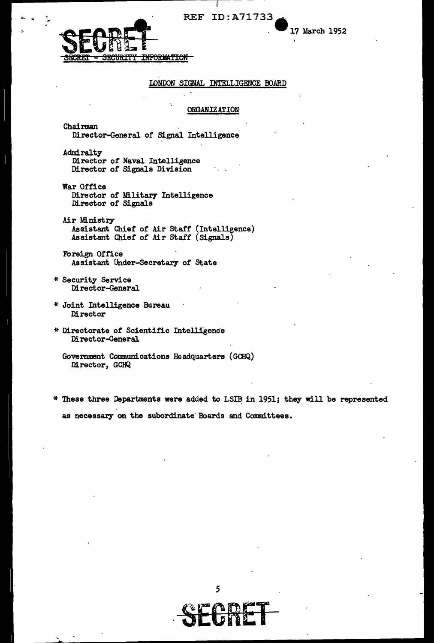REF ID: A71733

I

17 March 1952



### IDNDON SIGNAL INTELLIGENCE OOARD

#### **ORGANIZATION**

Chairman Director-General of Signal Intelligence

Admiralty Director *ot* Naval Intelligence Director *ot* Signals Division

War Office Director of Military Intelligence<br>Director of Signals

Air Ministry Assistant Chief of Air staff (Intelligence) Assistant Chief of Air staff (Signals)

Foreign Office Assistant Under-Secretary of State

\* Security Service .Director-General

- \* Joint Intelligence Bureau Director
- \* Directorate *ot* Scientific Intelligence Director-General

\* These three Departments were added to LSIB in 1951; they will be represented as necessary on the subordinate Boards and Committees.





Govemment Communications Headquarters (GCHQ) Director, GCHQ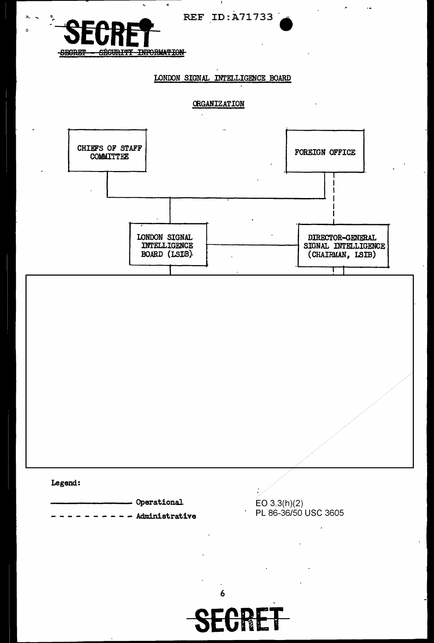

**SECRET**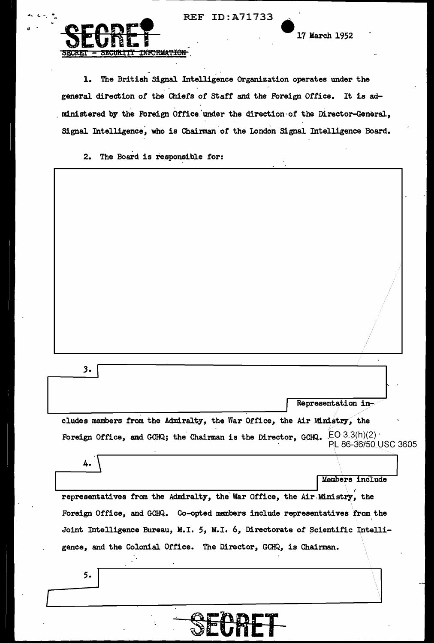REF ID: A71733



5.

17 March 1952

The British Signal Intelligence Organization operates under the  $\mathbf{1.}$ general direction of the Chiefs of Staff and the Foreign Office. It is administered by the Foreign Office under the direction of the Director-General, Signal Intelligence, who is Chairman of the London Signal Intelligence Board.

The Board is responsible for:  $2.$ 

| 3.                                                                                                |                      |
|---------------------------------------------------------------------------------------------------|----------------------|
|                                                                                                   | Representation in-   |
| cludes members from the Admiralty, the War Office, the Air Ministry, the                          |                      |
| Foreign Office, and GCHQ; the Chairman is the Director, GCHQ. $\mathsf{EO}\,3.3(\mathsf{h})(2)$ . | PL 86-36/50 USC 3605 |
| 4.                                                                                                | Members include      |
| representatives from the Admiralty, the War Office, the Air Ministry, the                         |                      |
| Foreign Office, and GCHQ. Co-opted members include representatives from the                       |                      |
| Joint Intelligence Bureau, M.I. 5, M.I. 6, Directorate of Scientific Intelli-                     |                      |
| gence, and the Colonial Office. The Director, GCHQ, is Chairman.                                  |                      |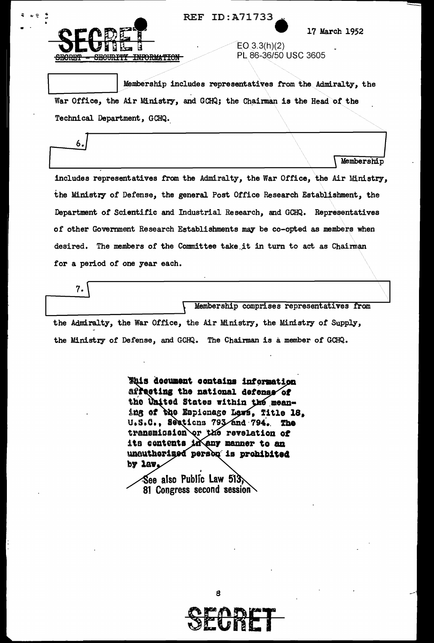

6./

7.

•

REF ID:A71733.

17 March 1952

 $EO(3.3(h)(2)$ PL 86-36/50 USC 3605

Membership comprises representatives from

Membership includes representatives from the Admiralty, the War Office, the Air Ministry, and GCHQ; the Chairman is the Head of the Technical Department, GCHQ.

Lembership<br>
Lembership includes representatives from the Admiralty, the War Office, the Air Ministry, the Ministry of Defense, the general Post Office Research Establishment, the Department of Scientific and Industrial Research, and GCHQ. Representatives of other Government Research Establishments may be co-opted as members when desired. The members of the Committee take it in turn to act as Chairman for a period of one year each.

the Admiralty, the War Office, the Air Ministry, the Ministry *ot* Supply, the Ministry of Defense, and GCHQ. The Chairman is a member of GCHQ.

> **Ehis decument contains information** affecting the national defense of the United States within the meaning of the Espionage Lews, Title 18. U.S.C., Seations 793 and 794. The transmission or the revelation of its contents in any manner to an unauthorised person is prohibited by law

See also Public Law 513, 81 Congress second session  $\setminus$ 

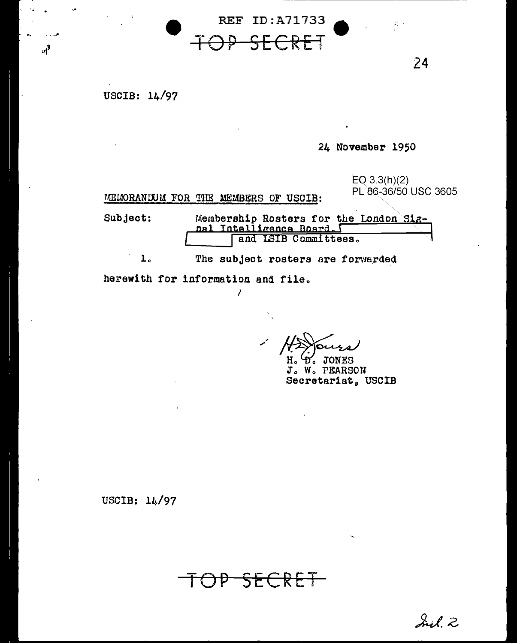USCIB: 14/97

 $u^3$ 

24 November 1950

 $EO$  3.3(h)(2) PL 86-36/50 USC 3605

 $\mathcal{Z} \rightarrow$ 

24

MEMORANDUM FOR THE MEMBERS OF USCIB:

Subject:

Membership Rosters for the London Sig-<br>nal Intelligence Board, 1

The subject rosters are forwarded  $\mathbf{L}$ .

 $\prime$ 

**REF ID: A71733** 

KC

herewith for information and file.

H. D. JONES

J. W. PEARSON Secretariat, USCIB

USCIB: 14/97

P SECRET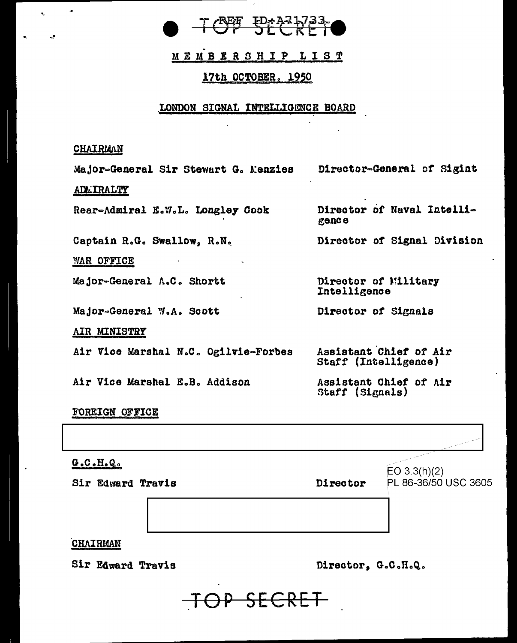

MEMBERSHIP LIST

## 17th OCTOBER, 1950

### LONDON SIGNAL INTELLIGENCE BOARD

## CHAIRMAN

Director-General of Sigint Major-General Sir Stewart G. Menzies **ADLIRALTY** Director of Naval Intelli-Rear-Admiral E.W.L. Longley Cook gence Captain R.G. Swallow, R.N. Director of Signal Division WAR OFFICE Major-General A.C. Shortt Director of Military Intelligence Major-General W.A. Scott Director of Signals AIR MINISTRY Air Vice Marshal N.C. Ogilvie-Forbes Assistant Chief of Air Staff (Intelligence) Air Vice Marshal E.B. Addison Assistant Chief of Air Staff (Signals) FOREIGN OFFICE

 $G.C. H. Q.$  $EO 3.3(h)(2)$ Director PL 86-36/50 USC 3605 Sir Edward Travis CHAIRMAN

Sir Edward Travis

Director, G.C.H.Q.

<del>P SECRET</del>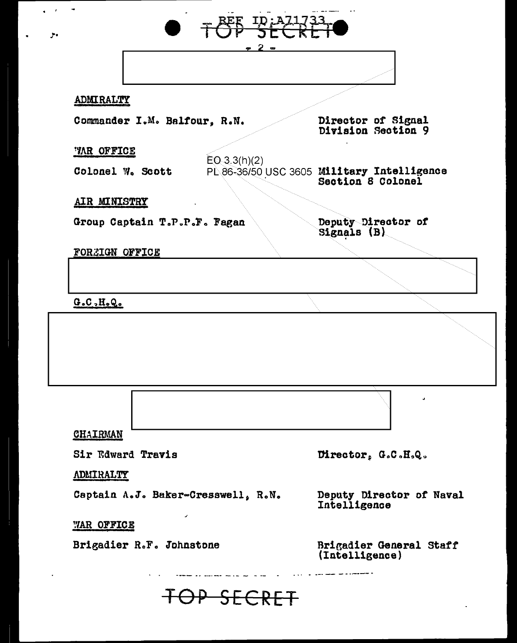| <b>ADMIRALTY</b>                                                                                                    |              |                                                                |
|---------------------------------------------------------------------------------------------------------------------|--------------|----------------------------------------------------------------|
| Commander I.M. Balfour, R.N.                                                                                        |              | Director of Signal<br>Division Section 9                       |
| <b>WAR OFFICE</b>                                                                                                   |              |                                                                |
| Colonel W. Scott                                                                                                    | EO(3.3(h)(2) | PL86-36/50 USC 3605 Military Intelligence<br>Section 8 Colonel |
| AIR MINISTRY                                                                                                        |              |                                                                |
| Group Captain T.P.P.F. Fagan                                                                                        |              | Deputy Director of<br>Signals (B)                              |
| <b>FORZIGN OFFICE</b>                                                                                               |              |                                                                |
|                                                                                                                     |              |                                                                |
|                                                                                                                     |              |                                                                |
|                                                                                                                     |              |                                                                |
| G.C.H.O.                                                                                                            |              |                                                                |
|                                                                                                                     |              |                                                                |
|                                                                                                                     |              |                                                                |
|                                                                                                                     |              | Director, G.C.H.Q.                                             |
|                                                                                                                     |              |                                                                |
|                                                                                                                     |              | Deputy Director of Naval<br>Intelligence                       |
| <b>CHAIRMAN</b><br>Sir Edward Travis<br><b>ADMIRALTY</b><br>Captain A.J. Baker-Cresswell, R.N.<br><b>WAR OFFICE</b> |              |                                                                |

 $\bullet$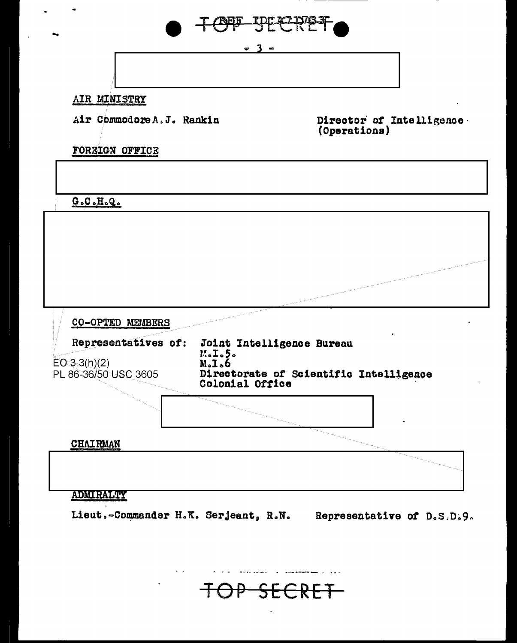

OP SECRET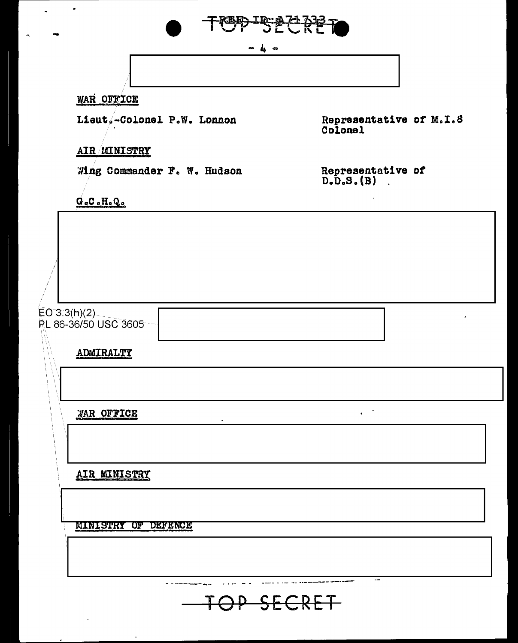

 $\sim$  4  $\sim$ 

----. -- -- ,. \_\_\_\_\_\_\_\_\_\_ \_

TOP SECRET

# WAR OFFICE

Lieut.-Colonel P.W. Lonnon

Representative *ot* M.I~8 Colonel

# AIR MINISTRY

~ing Commander Fo w. Hudson

Representative *ot*   $D<sub>o</sub>D<sub>o</sub>S<sub>o</sub>(B)$ 

 $\mathbf{R}^{\text{max}}$ 

 $=$ 

 $G<sub>o</sub>C<sub>o</sub>H<sub>o</sub>Q<sub>o</sub>$ 

 $EO 3.3(h)(2)$ PL 86-36/50 USC 3605

ADMIRALTY

~1AR OFFICE

AIR MINISTRY

l MINISTRY OF DEFENCE

 $\ddot{\phantom{a}}$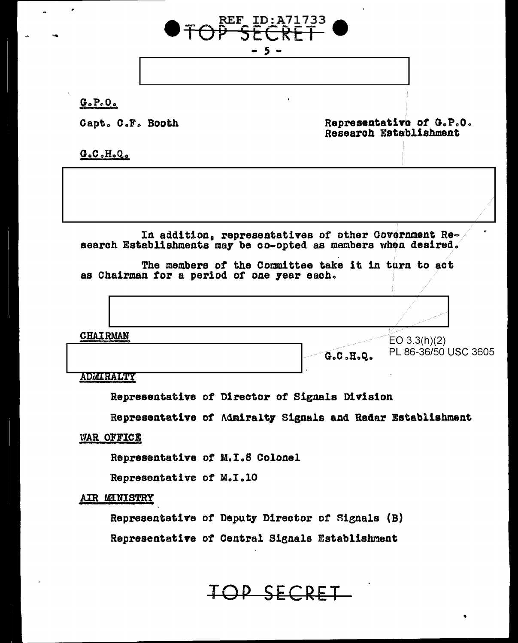

 $G \circ P \circ O \circ$ 

Capt. C.F. Booth

Representative of G.P.O. Research Establishment

 $G_oC_oH_oQ_o$ 

In addition, representatives of other Government Re-<br>search Establishments may be co-opted as members when desired.

The members of the Committee take it in turn to act as Chairman for a period of one year each.

**CHAIRMAN**  $EO 3.3(h)(2)$ PL 86-36/50 USC 3605  $G_0C_0H_0Q_0$ 

ADMIRALTY

Representative of Director of Signals Division

Representative of Admiralty Signals and Radar Establishment

**WAR OFFICE** 

Representative of M.I.8 Colonel

Representative of M.I.10

AIR MINISTRY

Representative of Deputy Director of Signals (B)

Representative of Central Signals Establishment

TOP SECRET